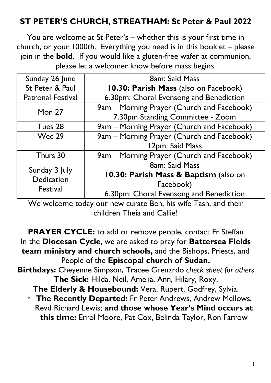# **ST PETER'S CHURCH, STREATHAM: St Peter & Paul 2022**

You are welcome at St Peter's – whether this is your first time in church, or your 1000th. Everything you need is in this booklet – please join in the **bold**. If you would like a gluten-free wafer at communion, please let a welcomer know before mass begins.

| Sunday 26 June                                 | <b>8am: Said Mass</b>                      |
|------------------------------------------------|--------------------------------------------|
| St Peter & Paul                                | 10.30: Parish Mass (also on Facebook)      |
| <b>Patronal Festival</b>                       | 6.30pm: Choral Evensong and Benediction    |
| Mon $27$                                       | 9am – Morning Prayer (Church and Facebook) |
|                                                | 7.30pm Standing Committee - Zoom           |
| Tues 28                                        | 9am - Morning Prayer (Church and Facebook) |
| Wed 29                                         | 9am – Morning Prayer (Church and Facebook) |
|                                                | 12pm: Said Mass                            |
| Thurs 30                                       | 9am – Morning Prayer (Church and Facebook) |
| Sunday 3 July<br><b>Dedication</b><br>Festival | 8am: Said Mass                             |
|                                                | 10.30: Parish Mass & Baptism (also on      |
|                                                | Facebook)                                  |
|                                                | 6.30pm: Choral Evensong and Benediction    |

We welcome today our new curate Ben, his wife Tash, and their children Theia and Callie!

**PRAYER CYCLE:** to add or remove people, contact Fr Steffan In the **Diocesan Cycle**, we are asked to pray for **Battersea Fields team ministry and church schools,** and the Bishops, Priests, and People of the **Episcopal church of Sudan.**

**Birthdays:** Cheyenne Simpson, Tracee Grenardo *check sheet for others* **The Sick:** Hilda, Neil, Amelia, Ann, Hilary, Roxy.

**The Elderly & Housebound:** Vera, Rupert, Godfrey, Sylvia.

◦ **The Recently Departed:** Fr Peter Andrews, Andrew Mellows, Revd Richard Lewis; **and those whose Year's Mind occurs at this time:** Errol Moore, Pat Cox, Belinda Taylor, Ron Farrow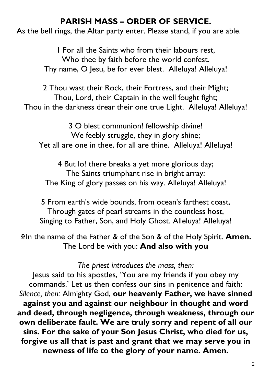# **PARISH MASS – ORDER OF SERVICE.**

As the bell rings, the Altar party enter. Please stand, if you are able.

1 For all the Saints who from their labours rest, Who thee by faith before the world confest. Thy name, O Jesu, be for ever blest. Alleluya! Alleluya!

2 Thou wast their Rock, their Fortress, and their Might; Thou, Lord, their Captain in the well fought fight; Thou in the darkness drear their one true Light. Alleluya! Alleluya!

3 O blest communion! fellowship divine! We feebly struggle, they in glory shine; Yet all are one in thee, for all are thine. Alleluya! Alleluya!

4 But lo! there breaks a yet more glorious day; The Saints triumphant rise in bright array: The King of glory passes on his way. Alleluya! Alleluya!

5 From earth's wide bounds, from ocean's farthest coast, Through gates of pearl streams in the countless host, Singing to Father, Son, and Holy Ghost. Alleluya! Alleluya!

XIn the name of the Father & of the Son & of the Holy Spirit. **Amen.**  The Lord be with you: **And also with you**

#### *The priest introduces the mass, then:*

Jesus said to his apostles, 'You are my friends if you obey my commands.' Let us then confess our sins in penitence and faith: *Silence, then:* Almighty God, **our heavenly Father, we have sinned against you and against our neighbour in thought and word and deed, through negligence, through weakness, through our own deliberate fault. We are truly sorry and repent of all our sins. For the sake of your Son Jesus Christ, who died for us, forgive us all that is past and grant that we may serve you in newness of life to the glory of your name. Amen.**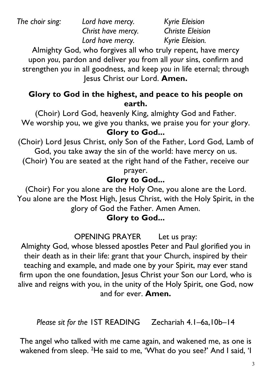*The choir sing: Lord have mercy. Kyrie Eleision*

*Christ have mercy. Christe Eleision Lord have mercy. Kyrie Eleision.*

Almighty God, who forgives all who truly repent, have mercy upon *you*, pardon and deliver *you* from all *your* sins, confirm and strengthen *you* in all goodness, and keep *you* in life eternal; through Jesus Christ our Lord. **Amen.**

### **Glory to God in the highest, and peace to his people on earth.**

(Choir) Lord God, heavenly King, almighty God and Father. We worship you, we give you thanks, we praise you for your glory. **Glory to God...**

(Choir) Lord Jesus Christ, only Son of the Father, Lord God, Lamb of God, you take away the sin of the world: have mercy on us.

(Choir) You are seated at the right hand of the Father, receive our

prayer.

# **Glory to God...**

(Choir) For you alone are the Holy One, you alone are the Lord. You alone are the Most High, Jesus Christ, with the Holy Spirit, in the glory of God the Father. Amen Amen.

# **Glory to God...**

OPENING PRAYER Let us pray:

Almighty God, whose blessed apostles Peter and Paul glorified you in their death as in their life: grant that your Church, inspired by their teaching and example, and made one by your Spirit, may ever stand firm upon the one foundation, Jesus Christ your Son our Lord, who is alive and reigns with you, in the unity of the Holy Spirit, one God, now and for ever. **Amen.**

*Please sit for the* 1ST READING Zechariah 4.1–6a,10b–14

The angel who talked with me came again, and wakened me, as one is wakened from sleep. <sup>2</sup>He said to me, 'What do you see?' And I said, 'I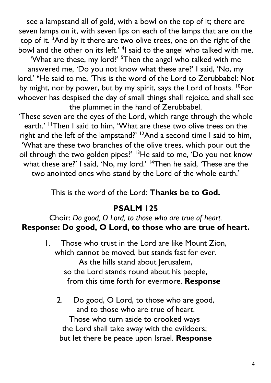see a lampstand all of gold, with a bowl on the top of it; there are seven lamps on it, with seven lips on each of the lamps that are on the top of it. <sup>3</sup>And by it there are two olive trees, one on the right of the bowl and the other on its left.' <sup>4</sup>I said to the angel who talked with me,

'What are these, my lord?' <sup>5</sup>Then the angel who talked with me answered me, 'Do you not know what these are?' I said, 'No, my lord.' <sup>6</sup>He said to me, 'This is the word of the Lord to Zerubbabel: Not by might, nor by power, but by my spirit, says the Lord of hosts. <sup>10</sup>For whoever has despised the day of small things shall rejoice, and shall see the plummet in the hand of Zerubbabel.

'These seven are the eyes of the Lord, which range through the whole earth.' "Then I said to him, 'What are these two olive trees on the right and the left of the lampstand?' <sup>12</sup>And a second time I said to him, 'What are these two branches of the olive trees, which pour out the oil through the two golden pipes?' <sup>13</sup>He said to me, 'Do you not know what these are?' I said, 'No, my lord.' <sup>14</sup>Then he said, 'These are the two anointed ones who stand by the Lord of the whole earth.'

This is the word of the Lord: **Thanks be to God.**

## **PSALM 125**

### Choir: *Do good, O Lord, to those who are true of heart.* **Response: Do good, O Lord, to those who are true of heart.**

- 1. Those who trust in the Lord are like Mount Zion, which cannot be moved, but stands fast for ever. As the hills stand about Jerusalem, so the Lord stands round about his people, from this time forth for evermore. **Response**
	- 2. Do good, O Lord, to those who are good, and to those who are true of heart. Those who turn aside to crooked ways the Lord shall take away with the evildoers; but let there be peace upon Israel. **Response**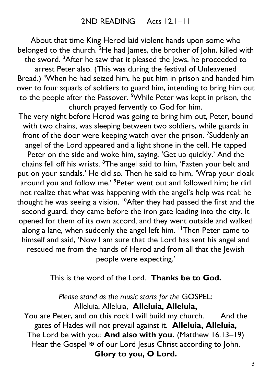About that time King Herod laid violent hands upon some who belonged to the church. <sup>2</sup>He had James, the brother of John, killed with the sword. <sup>3</sup>After he saw that it pleased the Jews, he proceeded to arrest Peter also. (This was during the festival of Unleavened Bread.) <sup>4</sup>When he had seized him, he put him in prison and handed him over to four squads of soldiers to guard him, intending to bring him out to the people after the Passover. <sup>5</sup>While Peter was kept in prison, the church prayed fervently to God for him.

The very night before Herod was going to bring him out, Peter, bound with two chains, was sleeping between two soldiers, while guards in front of the door were keeping watch over the prison. <sup>7</sup>Suddenly an angel of the Lord appeared and a light shone in the cell. He tapped Peter on the side and woke him, saying, 'Get up quickly.' And the chains fell off his wrists. <sup>8</sup>The angel said to him, 'Fasten your belt and put on your sandals.' He did so. Then he said to him, 'Wrap your cloak around you and follow me.' <sup>9</sup>Peter went out and followed him; he did not realize that what was happening with the angel's help was real; he thought he was seeing a vision. <sup>10</sup>After they had passed the first and the second guard, they came before the iron gate leading into the city. It opened for them of its own accord, and they went outside and walked along a lane, when suddenly the angel left him. <sup>11</sup>Then Peter came to himself and said, 'Now I am sure that the Lord has sent his angel and rescued me from the hands of Herod and from all that the Jewish people were expecting.'

This is the word of the Lord. **Thanks be to God.**

*Please stand as the music starts for the* GOSPEL: Alleluia, Alleluia, **Alleluia, Alleluia,** You are Peter, and on this rock I will build my church. And the

gates of Hades will not prevail against it. **Alleluia, Alleluia,**  The Lord be with you: **And also with you.** (Matthew 16.13–19) Hear the Gospel  $\overline{\mathfrak{B}}$  of our Lord Jesus Christ according to John. **Glory to you, O Lord.**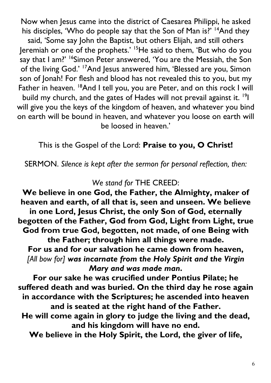Now when Jesus came into the district of Caesarea Philippi, he asked his disciples, 'Who do people say that the Son of Man is?' <sup>14</sup>And they said, 'Some say John the Baptist, but others Elijah, and still others Jeremiah or one of the prophets.' 15He said to them, 'But who do you say that I am?' <sup>16</sup>Simon Peter answered, 'You are the Messiah, the Son of the living God.' <sup>17</sup>And Jesus answered him, 'Blessed are you, Simon son of Jonah! For flesh and blood has not revealed this to you, but my Father in heaven. <sup>18</sup>And I tell you, you are Peter, and on this rock I will build my church, and the gates of Hades will not prevail against it. <sup>19</sup>I will give you the keys of the kingdom of heaven, and whatever you bind on earth will be bound in heaven, and whatever you loose on earth will be loosed in heaven.'

This is the Gospel of the Lord: **Praise to you, O Christ!**

SERMON. *Silence is kept after the sermon for personal reflection, then:*

#### *We stand for* THE CREED:

**We believe in one God, the Father, the Almighty, maker of heaven and earth, of all that is, seen and unseen. We believe in one Lord, Jesus Christ, the only Son of God, eternally begotten of the Father, God from God, Light from Light, true God from true God, begotten, not made, of one Being with the Father; through him all things were made. For us and for our salvation he came down from heaven,** *[All bow for] was incarnate from the Holy Spirit and the Virgin Mary and was made man***.**

**For our sake he was crucified under Pontius Pilate; he suffered death and was buried. On the third day he rose again in accordance with the Scriptures; he ascended into heaven and is seated at the right hand of the Father. He will come again in glory to judge the living and the dead,** 

**and his kingdom will have no end.**

**We believe in the Holy Spirit, the Lord, the giver of life,**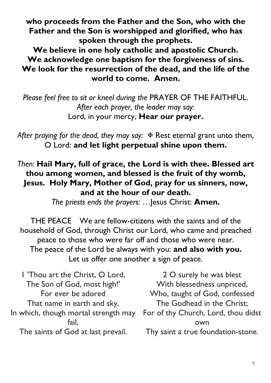**who proceeds from the Father and the Son, who with the Father and the Son is worshipped and glorified, who has spoken through the prophets.**

**We believe in one holy catholic and apostolic Church. We acknowledge one baptism for the forgiveness of sins. We look for the resurrection of the dead, and the life of the world to come. Amen.**

*Please feel free to sit or kneel during the* PRAYER OF THE FAITHFUL. *After each prayer, the leader may say:* Lord, in your mercy, **Hear our prayer.**

After praying for the dead, they may say:  $\mathbb F$  Rest eternal grant unto them, O Lord: **and let light perpetual shine upon them.**

#### *Then:* **Hail Mary, full of grace, the Lord is with thee. Blessed art thou among women, and blessed is the fruit of thy womb, Jesus. Holy Mary, Mother of God, pray for us sinners, now, and at the hour of our death.**

*The priests ends the prayers:* …Jesus Christ: **Amen.**

THE PEACE We are fellow-citizens with the saints and of the household of God, through Christ our Lord, who came and preached peace to those who were far off and those who were near. The peace of the Lord be always with you: **and also with you.** Let us offer one another a sign of peace.

1 'Thou art the Christ, O Lord, The Son of God, most high!' For ever be adored That name in earth and sky, In which, though mortal strength may fail, The saints of God at last prevail.

2 O surely he was blest With blessedness unpriced, Who, taught of God, confessed The Godhead in the Christ; For of thy Church, Lord, thou didst own Thy saint a true foundation-stone.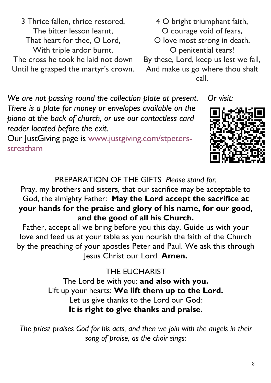3 Thrice fallen, thrice restored, The bitter lesson learnt, That heart for thee, O Lord, With triple ardor burnt. The cross he took he laid not down Until he grasped the martyr's crown.

4 O bright triumphant faith, O courage void of fears, O love most strong in death, O penitential tears! By these, Lord, keep us lest we fall, And make us go where thou shalt call.

*We are not passing round the collection plate at present. There is a plate for money or envelopes available on the piano at the back of church, or use our contactless card reader located before the exit.*

Our JustGiving page is www.justgiving.com/stpetersstreatham



*Or visit:*

# PREPARATION OF THE GIFTS *Please stand for:*

Pray, my brothers and sisters, that our sacrifice may be acceptable to God, the almighty Father: **May the Lord accept the sacrifice at your hands for the praise and glory of his name, for our good, and the good of all his Church.**

Father, accept all we bring before you this day. Guide us with your love and feed us at your table as you nourish the faith of the Church by the preaching of your apostles Peter and Paul. We ask this through Jesus Christ our Lord. **Amen.**

> THE EUCHARIST The Lord be with you: **and also with you.** Lift up your hearts: **We lift them up to the Lord.** Let us give thanks to the Lord our God: **It is right to give thanks and praise.**

*The priest praises God for his acts, and then we join with the angels in their song of praise, as the choir sings:*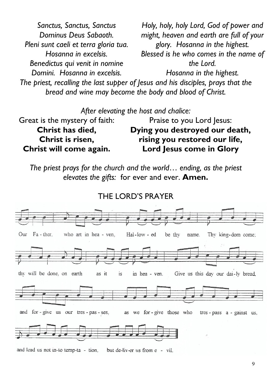*The priest, recalling the last supper of Jesus and his disciples, prays that the bread and wine may become the body and blood of Christ. Sanctus, Sanctus, Sanctus Dominus Deus Sabaoth. Pleni sunt caeli et terra gloria tua. Hosanna in excelsis. Benedictus qui venit in nomine Domini. Hosanna in excelsis. Holy, holy, holy Lord, God of power and might, heaven and earth are full of your glory. Hosanna in the highest. Blessed is he who comes in the name of the Lord. Hosanna in the highest.*

*After elevating the host and chalice:*

Great is the mystery of faith: **Christ has died, Christ is risen, Christ will come again.** Praise to you Lord Jesus: **Dying you destroyed our death, rising you restored our life, Lord Jesus come in Glory**

*The priest prays for the church and the world*… *ending, as the priest elevates the gifts:* for ever and ever. **Amen.**



and lead us not in-to temp-ta - tion, but de-liv-er us from e - vil.

THE LORD'S PRAYER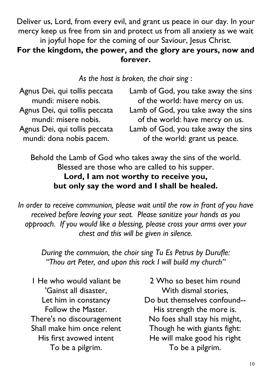Deliver us, Lord, from every evil, and grant us peace in our day. In your mercy keep us free from sin and protect us from all anxiety as we wait in joyful hope for the coming of our Saviour, Jesus Christ.

### **For the kingdom, the power, and the glory are yours, now and forever.**

*As the host is broken, the choir sing* :

| Agnus Dei, qui tollis peccata | Lamb of God, you take away the sins |
|-------------------------------|-------------------------------------|
| mundi: misere nobis.          | of the world: have mercy on us.     |
| Agnus Dei, qui tollis peccata | Lamb of God, you take away the sins |
| mundi: misere nobis.          | of the world: have mercy on us.     |
| Agnus Dei, qui tollis peccata | Lamb of God, you take away the sins |
| mundi: dona nobis pacem.      | of the world: grant us peace.       |

Behold the Lamb of God who takes away the sins of the world. Blessed are those who are called to his supper. **Lord, I am not worthy to receive you, but only say the word and I shall be healed.**

*In order to receive communion, please wait until the row in front of you have received before leaving your seat. Please sanitize your hands as you approach. If you would like a blessing, please cross your arms over your chest and this will be given in silence.* 

*During the commuion, the choir sing Tu Es Petrus by Durufle: "Thou art Peter, and upon this rock I will build my church"*

1 He who would valiant be 'Gainst all disaster, Let him in constancy Follow the Master. There's no discouragement Shall make him once relent His first avowed intent To be a pilgrim.

2 Who so beset him round With dismal stories, Do but themselves confound-- His strength the more is. No foes shall stay his might, Though he with giants fight: He will make good his right To be a pilgrim.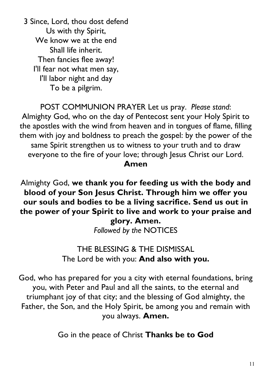3 Since, Lord, thou dost defend Us with thy Spirit, We know we at the end Shall life inherit. Then fancies flee away! I'll fear not what men say, I'll labor night and day To be a pilgrim.

POST COMMUNION PRAYER Let us pray. *Please stand*: Almighty God, who on the day of Pentecost sent your Holy Spirit to the apostles with the wind from heaven and in tongues of flame, filling them with joy and boldness to preach the gospel: by the power of the same Spirit strengthen us to witness to your truth and to draw everyone to the fire of your love; through Jesus Christ our Lord. **Amen**

Almighty God, **we thank you for feeding us with the body and blood of your Son Jesus Christ. Through him we offer you our souls and bodies to be a living sacrifice. Send us out in the power of your Spirit to live and work to your praise and glory. Amen.**

*Followed by the* NOTICES

### THE BLESSING & THE DISMISSAL The Lord be with you: **And also with you.**

God, who has prepared for you a city with eternal foundations, bring you, with Peter and Paul and all the saints, to the eternal and triumphant joy of that city; and the blessing of God almighty, the Father, the Son, and the Holy Spirit, be among you and remain with you always. **Amen.**

Go in the peace of Christ **Thanks be to God**